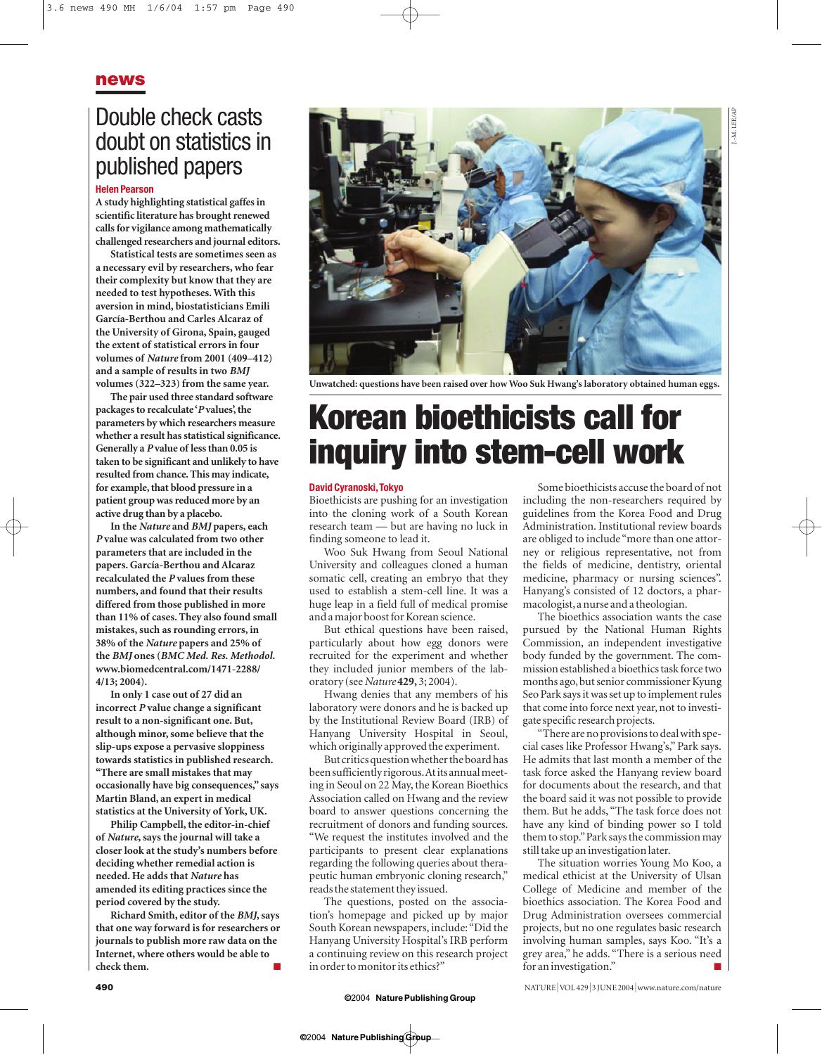## Double check casts doubt on statistics in published papers

### **Helen Pearson**

**A study highlighting statistical gaffes in scientific literature has brought renewed calls for vigilance among mathematically challenged researchers and journal editors.**

**Statistical tests are sometimes seen as a necessary evil by researchers, who fear their complexity but know that they are needed to test hypotheses. With this aversion in mind, biostatisticians Emili García-Berthou and Carles Alcaraz of the University of Girona, Spain, gauged the extent of statistical errors in four volumes of** *Nature* **from 2001 (409–412) and a sample of results in two** *BMJ* **volumes (322–323) from the same year.**

**The pair used three standard software packages to recalculate '***P* **values', the parameters by which researchers measure whether a result has statistical significance. Generally a** *P* **value of less than 0.05 is taken to be significant and unlikely to have resulted from chance. This may indicate, for example, that blood pressure in a patient group was reduced more by an active drug than by a placebo.**

**In the** *Nature* **and** *BMJ* **papers, each**  *P* **value was calculated from two other parameters that are included in the papers. García-Berthou and Alcaraz recalculated the** *P* **values from these numbers, and found that their results differed from those published in more than 11% of cases. They also found small mistakes, such as rounding errors, in 38% of the** *Nature* **papers and 25% of the** *BMJ* **ones (***BMC Med. Res. Methodol.* **www.biomedcentral.com/1471-2288/ 4/13; 2004).**

**In only 1 case out of 27 did an incorrect** *P* **value change a significant result to a non-significant one. But, although minor, some believe that the slip-ups expose a pervasive sloppiness towards statistics in published research. "There are small mistakes that may occasionally have big consequences," says Martin Bland, an expert in medical statistics at the University of York, UK.**

**Philip Campbell, the editor-in-chief of** *Nature***, says the journal will take a closer look at the study's numbers before deciding whether remedial action is needed. He adds that** *Nature* **has amended its editing practices since the period covered by the study.**

**Richard Smith, editor of the** *BMJ***, says that one way forward is for researchers or journals to publish more raw data on the Internet, where others would be able to** check them.



**Unwatched: questions have been raised over how Woo Suk Hwang's laboratory obtained human eggs.**

# **Korean bioethicists call for inquiry into stem-cell work**

#### **David Cyranoski,Tokyo**

Bioethicists are pushing for an investigation into the cloning work of a South Korean research team — but are having no luck in finding someone to lead it.

Woo Suk Hwang from Seoul National University and colleagues cloned a human somatic cell, creating an embryo that they used to establish a stem-cell line. It was a huge leap in a field full of medical promise and a major boost for Korean science.

But ethical questions have been raised, particularly about how egg donors were recruited for the experiment and whether they included junior members of the laboratory (see *Nature* **429,** 3; 2004).

Hwang denies that any members of his laboratory were donors and he is backed up by the Institutional Review Board (IRB) of Hanyang University Hospital in Seoul, which originally approved the experiment.

But critics question whether the board has been sufficiently rigorous.At its annual meeting in Seoul on 22 May, the Korean Bioethics Association called on Hwang and the review board to answer questions concerning the recruitment of donors and funding sources. "We request the institutes involved and the participants to present clear explanations regarding the following queries about therapeutic human embryonic cloning research," reads the statement they issued.

The questions, posted on the association's homepage and picked up by major South Korean newspapers, include:"Did the Hanyang University Hospital's IRB perform a continuing review on this research project in order to monitor its ethics?"

Some bioethicists accuse the board of not including the non-researchers required by guidelines from the Korea Food and Drug Administration. Institutional review boards are obliged to include "more than one attorney or religious representative, not from the fields of medicine, dentistry, oriental medicine, pharmacy or nursing sciences". Hanyang's consisted of 12 doctors, a pharmacologist,a nurse and a theologian.

The bioethics association wants the case pursued by the National Human Rights Commission, an independent investigative body funded by the government. The commission established a bioethics task force two months ago, but senior commissioner Kyung Seo Park says it was set up to implement rules that come into force next year, not to investigate specific research projects.

"There are no provisions to deal with special cases like Professor Hwang's," Park says. He admits that last month a member of the task force asked the Hanyang review board for documents about the research, and that the board said it was not possible to provide them. But he adds, "The task force does not have any kind of binding power so I told them to stop."Park says the commission may still take up an investigation later.

The situation worries Young Mo Koo, a medical ethicist at the University of Ulsan College of Medicine and member of the bioethics association. The Korea Food and Drug Administration oversees commercial projects, but no one regulates basic research involving human samples, says Koo. "It's a grey area," he adds. "There is a serious need for an investigation."

J.-M. LEE/AP